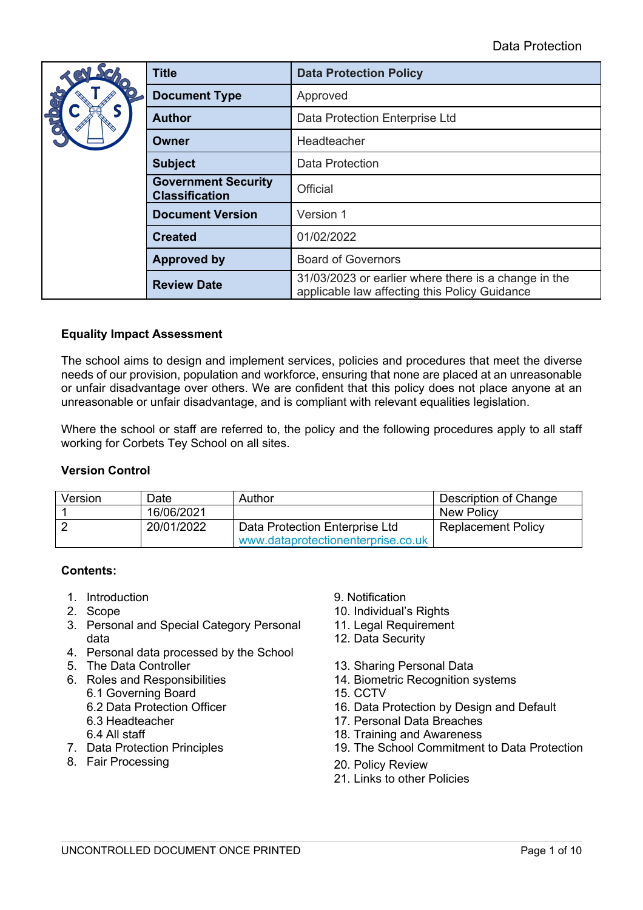|                                                                 | <b>Title</b>            | <b>Data Protection Policy</b>                                                                         |  |
|-----------------------------------------------------------------|-------------------------|-------------------------------------------------------------------------------------------------------|--|
|                                                                 | <b>Document Type</b>    | Approved                                                                                              |  |
|                                                                 | <b>Author</b>           | Data Protection Enterprise Ltd                                                                        |  |
|                                                                 | Owner                   | Headteacher                                                                                           |  |
|                                                                 | <b>Subject</b>          | <b>Data Protection</b>                                                                                |  |
| <b>Government Security</b><br>Official<br><b>Classification</b> |                         |                                                                                                       |  |
|                                                                 | <b>Document Version</b> | Version 1                                                                                             |  |
|                                                                 | <b>Created</b>          | 01/02/2022                                                                                            |  |
|                                                                 | <b>Approved by</b>      | <b>Board of Governors</b>                                                                             |  |
|                                                                 | <b>Review Date</b>      | 31/03/2023 or earlier where there is a change in the<br>applicable law affecting this Policy Guidance |  |

# **Equality Impact Assessment**

The school aims to design and implement services, policies and procedures that meet the diverse needs of our provision, population and workforce, ensuring that none are placed at an unreasonable or unfair disadvantage over others. We are confident that this policy does not place anyone at an unreasonable or unfair disadvantage, and is compliant with relevant equalities legislation.

Where the school or staff are referred to, the policy and the following procedures apply to all staff working for Corbets Tey School on all sites.

#### **Version Control**

| Version | Date⊦      | Author                             | Description of Change     |
|---------|------------|------------------------------------|---------------------------|
|         | 16/06/2021 |                                    | New Policy                |
|         | 20/01/2022 | Data Protection Enterprise Ltd     | <b>Replacement Policy</b> |
|         |            | www.dataprotectionenterprise.co.uk |                           |

#### **Contents:**

- 1. Introduction 9. Notification
- 
- 3. Personal and Special Category Personal data
- 4. Personal data processed by the School
- 
- 6. Roles and Responsibilities
	- 6.1 Governing Board
	- 6.2 Data Protection Officer
	- 6.3 Headteacher
	- 6.4 All staff
- 7. Data Protection Principles
- 8. Fair Processing
- 
- 2. Scope 10. Individual's Rights
	- 11. Legal Requirement
	- 12. Data Security
- 5. The Data Controller 13. Sharing Personal Data
	- 14. Biometric Recognition systems
	- 15. CCTV
	- 16. Data Protection by Design and Default
	- 17. Personal Data Breaches
	- 18. Training and Awareness
	- 19. The School Commitment to Data Protection
	- 20. Policy Review
	- 21. Links to other Policies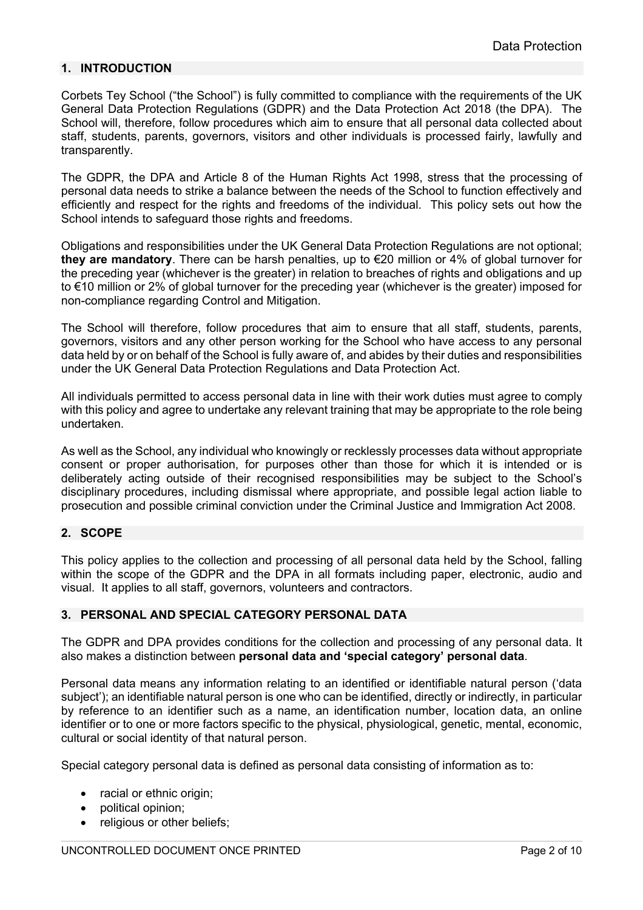# **1. INTRODUCTION**

Corbets Tey School ("the School") is fully committed to compliance with the requirements of the UK General Data Protection Regulations (GDPR) and the Data Protection Act 2018 (the DPA). The School will, therefore, follow procedures which aim to ensure that all personal data collected about staff, students, parents, governors, visitors and other individuals is processed fairly, lawfully and transparently.

The GDPR, the DPA and Article 8 of the Human Rights Act 1998, stress that the processing of personal data needs to strike a balance between the needs of the School to function effectively and efficiently and respect for the rights and freedoms of the individual. This policy sets out how the School intends to safeguard those rights and freedoms.

Obligations and responsibilities under the UK General Data Protection Regulations are not optional; **they are mandatory**. There can be harsh penalties, up to €20 million or 4% of global turnover for the preceding year (whichever is the greater) in relation to breaches of rights and obligations and up to €10 million or 2% of global turnover for the preceding year (whichever is the greater) imposed for non-compliance regarding Control and Mitigation.

The School will therefore, follow procedures that aim to ensure that all staff, students, parents, governors, visitors and any other person working for the School who have access to any personal data held by or on behalf of the School is fully aware of, and abides by their duties and responsibilities under the UK General Data Protection Regulations and Data Protection Act.

All individuals permitted to access personal data in line with their work duties must agree to comply with this policy and agree to undertake any relevant training that may be appropriate to the role being undertaken.

As well as the School, any individual who knowingly or recklessly processes data without appropriate consent or proper authorisation, for purposes other than those for which it is intended or is deliberately acting outside of their recognised responsibilities may be subject to the School's disciplinary procedures, including dismissal where appropriate, and possible legal action liable to prosecution and possible criminal conviction under the Criminal Justice and Immigration Act 2008.

# **2. SCOPE**

This policy applies to the collection and processing of all personal data held by the School, falling within the scope of the GDPR and the DPA in all formats including paper, electronic, audio and visual. It applies to all staff, governors, volunteers and contractors.

# **3. PERSONAL AND SPECIAL CATEGORY PERSONAL DATA**

The GDPR and DPA provides conditions for the collection and processing of any personal data. It also makes a distinction between **personal data and 'special category' personal data**.

Personal data means any information relating to an identified or identifiable natural person ('data subject'); an identifiable natural person is one who can be identified, directly or indirectly, in particular by reference to an identifier such as a name, an identification number, location data, an online identifier or to one or more factors specific to the physical, physiological, genetic, mental, economic, cultural or social identity of that natural person.

Special category personal data is defined as personal data consisting of information as to:

- racial or ethnic origin:
- political opinion;
- religious or other beliefs: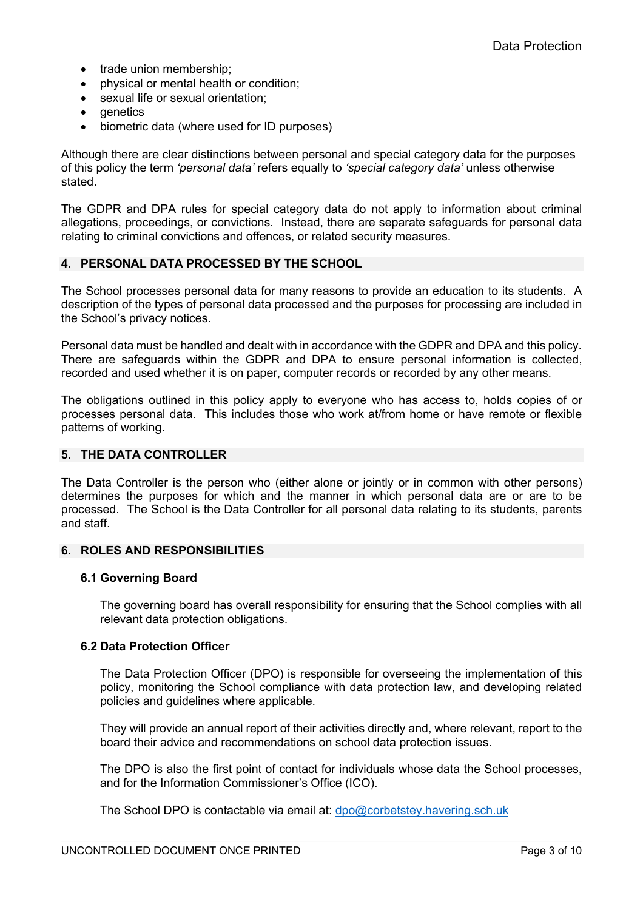- trade union membership:
- physical or mental health or condition;
- sexual life or sexual orientation;
- genetics
- biometric data (where used for ID purposes)

Although there are clear distinctions between personal and special category data for the purposes of this policy the term *'personal data'* refers equally to *'special category data'* unless otherwise stated.

The GDPR and DPA rules for special category data do not apply to information about criminal allegations, proceedings, or convictions. Instead, there are separate safeguards for personal data relating to criminal convictions and offences, or related security measures.

# **4. PERSONAL DATA PROCESSED BY THE SCHOOL**

The School processes personal data for many reasons to provide an education to its students. A description of the types of personal data processed and the purposes for processing are included in the School's privacy notices.

Personal data must be handled and dealt with in accordance with the GDPR and DPA and this policy. There are safeguards within the GDPR and DPA to ensure personal information is collected, recorded and used whether it is on paper, computer records or recorded by any other means.

The obligations outlined in this policy apply to everyone who has access to, holds copies of or processes personal data. This includes those who work at/from home or have remote or flexible patterns of working.

# **5. THE DATA CONTROLLER**

The Data Controller is the person who (either alone or jointly or in common with other persons) determines the purposes for which and the manner in which personal data are or are to be processed. The School is the Data Controller for all personal data relating to its students, parents and staff.

# **6. ROLES AND RESPONSIBILITIES**

#### **6.1 Governing Board**

The governing board has overall responsibility for ensuring that the School complies with all relevant data protection obligations.

#### **6.2 Data Protection Officer**

The Data Protection Officer (DPO) is responsible for overseeing the implementation of this policy, monitoring the School compliance with data protection law, and developing related policies and guidelines where applicable.

They will provide an annual report of their activities directly and, where relevant, report to the board their advice and recommendations on school data protection issues.

The DPO is also the first point of contact for individuals whose data the School processes, and for the Information Commissioner's Office (ICO).

The School DPO is contactable via email at: dpo@corbetstey.havering.sch.uk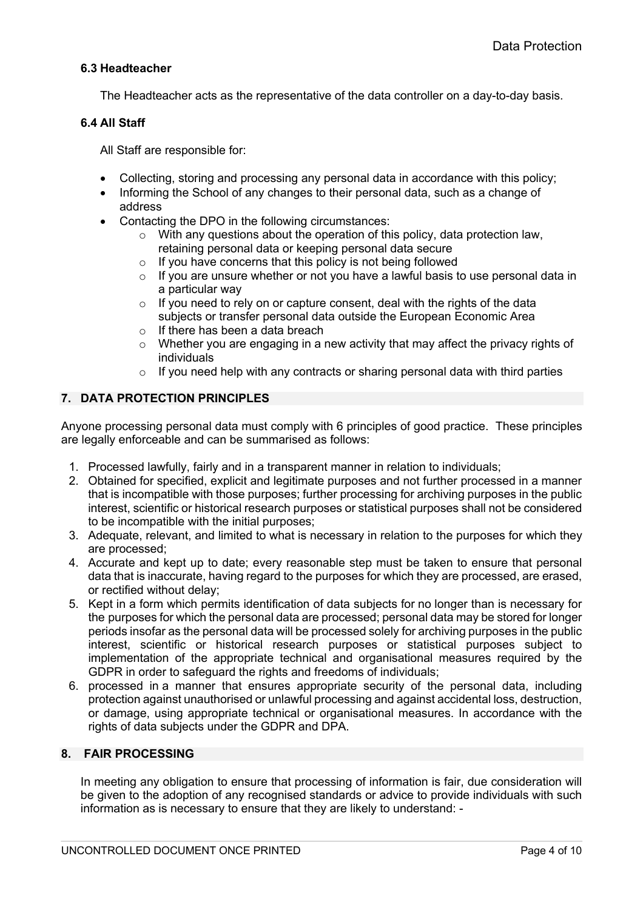# **6.3 Headteacher**

The Headteacher acts as the representative of the data controller on a day-to-day basis.

### **6.4 All Staff**

All Staff are responsible for:

- Collecting, storing and processing any personal data in accordance with this policy;
- Informing the School of any changes to their personal data, such as a change of address
- Contacting the DPO in the following circumstances:
	- o With any questions about the operation of this policy, data protection law, retaining personal data or keeping personal data secure
	- o If you have concerns that this policy is not being followed
	- $\circ$  If you are unsure whether or not you have a lawful basis to use personal data in a particular way
	- o If you need to rely on or capture consent, deal with the rights of the data subjects or transfer personal data outside the European Economic Area
	- o If there has been a data breach
	- $\circ$  Whether you are engaging in a new activity that may affect the privacy rights of individuals
	- o If you need help with any contracts or sharing personal data with third parties

# **7. DATA PROTECTION PRINCIPLES**

Anyone processing personal data must comply with 6 principles of good practice. These principles are legally enforceable and can be summarised as follows:

- 1. Processed lawfully, fairly and in a transparent manner in relation to individuals;
- 2. Obtained for specified, explicit and legitimate purposes and not further processed in a manner that is incompatible with those purposes; further processing for archiving purposes in the public interest, scientific or historical research purposes or statistical purposes shall not be considered to be incompatible with the initial purposes;
- 3. Adequate, relevant, and limited to what is necessary in relation to the purposes for which they are processed;
- 4. Accurate and kept up to date; every reasonable step must be taken to ensure that personal data that is inaccurate, having regard to the purposes for which they are processed, are erased, or rectified without delay;
- 5. Kept in a form which permits identification of data subjects for no longer than is necessary for the purposes for which the personal data are processed; personal data may be stored for longer periods insofar as the personal data will be processed solely for archiving purposes in the public interest, scientific or historical research purposes or statistical purposes subject to implementation of the appropriate technical and organisational measures required by the GDPR in order to safeguard the rights and freedoms of individuals;
- 6. processed in a manner that ensures appropriate security of the personal data, including protection against unauthorised or unlawful processing and against accidental loss, destruction, or damage, using appropriate technical or organisational measures. In accordance with the rights of data subjects under the GDPR and DPA.

# **8. FAIR PROCESSING**

In meeting any obligation to ensure that processing of information is fair, due consideration will be given to the adoption of any recognised standards or advice to provide individuals with such information as is necessary to ensure that they are likely to understand: -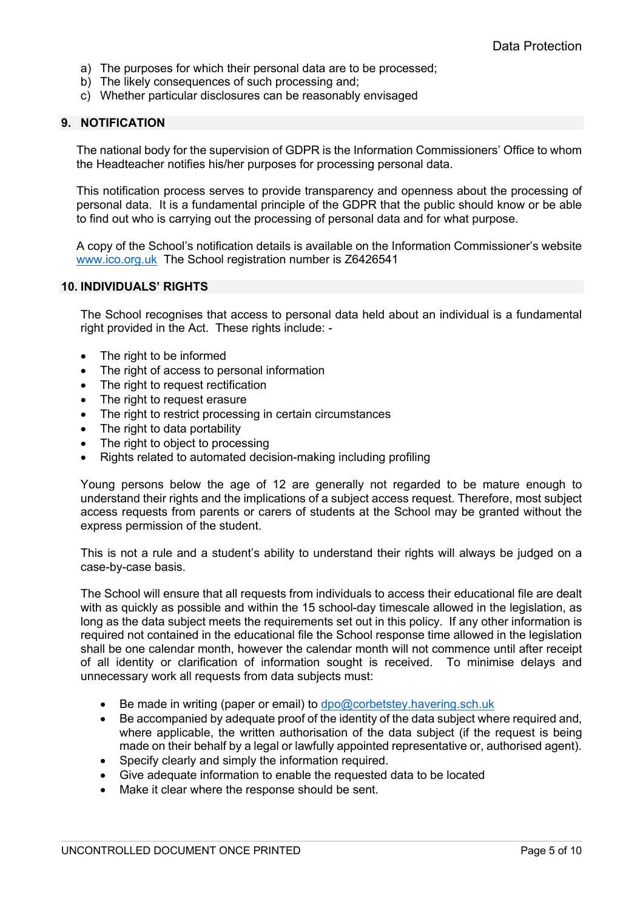- a) The purposes for which their personal data are to be processed;
- b) The likely consequences of such processing and;
- c) Whether particular disclosures can be reasonably envisaged

### **9. NOTIFICATION**

The national body for the supervision of GDPR is the Information Commissioners' Office to whom the Headteacher notifies his/her purposes for processing personal data.

This notification process serves to provide transparency and openness about the processing of personal data. It is a fundamental principle of the GDPR that the public should know or be able to find out who is carrying out the processing of personal data and for what purpose.

A copy of the School's notification details is available on the Information Commissioner's website www.ico.org.uk The School registration number is Z6426541

### **10. INDIVIDUALS' RIGHTS**

The School recognises that access to personal data held about an individual is a fundamental right provided in the Act. These rights include: -

- The right to be informed
- The right of access to personal information
- The right to request rectification
- The right to request erasure
- The right to restrict processing in certain circumstances
- The right to data portability
- The right to object to processing
- Rights related to automated decision-making including profiling

Young persons below the age of 12 are generally not regarded to be mature enough to understand their rights and the implications of a subject access request. Therefore, most subject access requests from parents or carers of students at the School may be granted without the express permission of the student.

This is not a rule and a student's ability to understand their rights will always be judged on a case-by-case basis.

The School will ensure that all requests from individuals to access their educational file are dealt with as quickly as possible and within the 15 school-day timescale allowed in the legislation, as long as the data subject meets the requirements set out in this policy. If any other information is required not contained in the educational file the School response time allowed in the legislation shall be one calendar month, however the calendar month will not commence until after receipt of all identity or clarification of information sought is received. To minimise delays and unnecessary work all requests from data subjects must:

- Be made in writing (paper or email) to dpo@corbetstey.havering.sch.uk
- Be accompanied by adequate proof of the identity of the data subject where required and, where applicable, the written authorisation of the data subject (if the request is being made on their behalf by a legal or lawfully appointed representative or, authorised agent).
- Specify clearly and simply the information required.
- Give adequate information to enable the requested data to be located
- Make it clear where the response should be sent.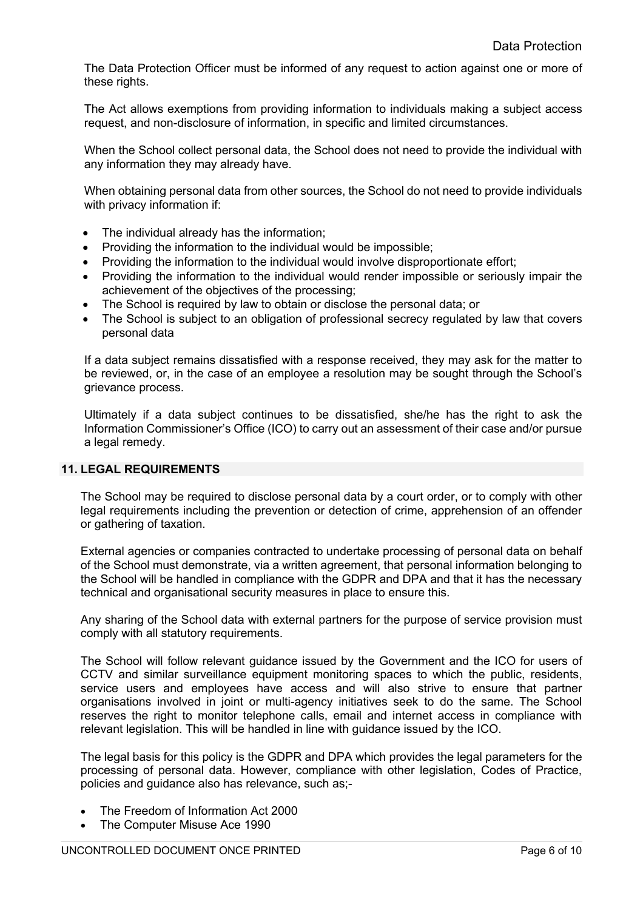The Data Protection Officer must be informed of any request to action against one or more of these rights.

The Act allows exemptions from providing information to individuals making a subject access request, and non-disclosure of information, in specific and limited circumstances.

When the School collect personal data, the School does not need to provide the individual with any information they may already have.

When obtaining personal data from other sources, the School do not need to provide individuals with privacy information if:

- The individual already has the information:
- Providing the information to the individual would be impossible;
- Providing the information to the individual would involve disproportionate effort;
- Providing the information to the individual would render impossible or seriously impair the achievement of the objectives of the processing;
- The School is required by law to obtain or disclose the personal data; or
- The School is subject to an obligation of professional secrecy regulated by law that covers personal data

If a data subject remains dissatisfied with a response received, they may ask for the matter to be reviewed, or, in the case of an employee a resolution may be sought through the School's grievance process.

Ultimately if a data subject continues to be dissatisfied, she/he has the right to ask the Information Commissioner's Office (ICO) to carry out an assessment of their case and/or pursue a legal remedy.

### **11. LEGAL REQUIREMENTS**

The School may be required to disclose personal data by a court order, or to comply with other legal requirements including the prevention or detection of crime, apprehension of an offender or gathering of taxation.

External agencies or companies contracted to undertake processing of personal data on behalf of the School must demonstrate, via a written agreement, that personal information belonging to the School will be handled in compliance with the GDPR and DPA and that it has the necessary technical and organisational security measures in place to ensure this.

Any sharing of the School data with external partners for the purpose of service provision must comply with all statutory requirements.

The School will follow relevant guidance issued by the Government and the ICO for users of CCTV and similar surveillance equipment monitoring spaces to which the public, residents, service users and employees have access and will also strive to ensure that partner organisations involved in joint or multi-agency initiatives seek to do the same. The School reserves the right to monitor telephone calls, email and internet access in compliance with relevant legislation. This will be handled in line with guidance issued by the ICO.

The legal basis for this policy is the GDPR and DPA which provides the legal parameters for the processing of personal data. However, compliance with other legislation, Codes of Practice, policies and guidance also has relevance, such as;-

- The Freedom of Information Act 2000
- The Computer Misuse Ace 1990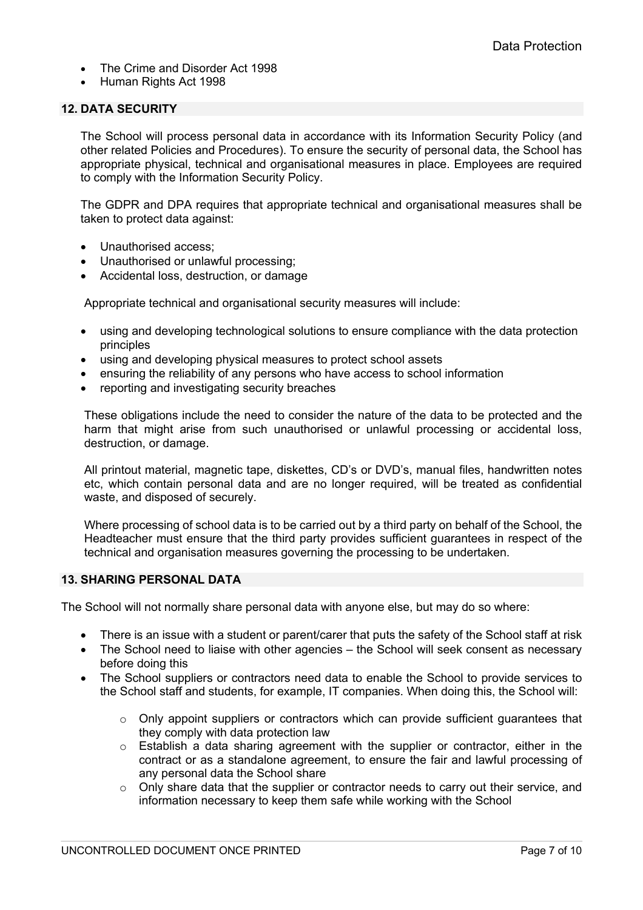- The Crime and Disorder Act 1998
- Human Rights Act 1998

# **12. DATA SECURITY**

The School will process personal data in accordance with its Information Security Policy (and other related Policies and Procedures). To ensure the security of personal data, the School has appropriate physical, technical and organisational measures in place. Employees are required to comply with the Information Security Policy.

The GDPR and DPA requires that appropriate technical and organisational measures shall be taken to protect data against:

- Unauthorised access;
- Unauthorised or unlawful processing:
- Accidental loss, destruction, or damage

Appropriate technical and organisational security measures will include:

- using and developing technological solutions to ensure compliance with the data protection principles
- using and developing physical measures to protect school assets
- ensuring the reliability of any persons who have access to school information
- reporting and investigating security breaches

These obligations include the need to consider the nature of the data to be protected and the harm that might arise from such unauthorised or unlawful processing or accidental loss, destruction, or damage.

All printout material, magnetic tape, diskettes, CD's or DVD's, manual files, handwritten notes etc, which contain personal data and are no longer required, will be treated as confidential waste, and disposed of securely.

Where processing of school data is to be carried out by a third party on behalf of the School, the Headteacher must ensure that the third party provides sufficient guarantees in respect of the technical and organisation measures governing the processing to be undertaken.

# **13. SHARING PERSONAL DATA**

The School will not normally share personal data with anyone else, but may do so where:

- There is an issue with a student or parent/carer that puts the safety of the School staff at risk
- The School need to liaise with other agencies the School will seek consent as necessary before doing this
- The School suppliers or contractors need data to enable the School to provide services to the School staff and students, for example, IT companies. When doing this, the School will:
	- $\circ$  Only appoint suppliers or contractors which can provide sufficient quarantees that they comply with data protection law
	- $\circ$  Establish a data sharing agreement with the supplier or contractor, either in the contract or as a standalone agreement, to ensure the fair and lawful processing of any personal data the School share
	- o Only share data that the supplier or contractor needs to carry out their service, and information necessary to keep them safe while working with the School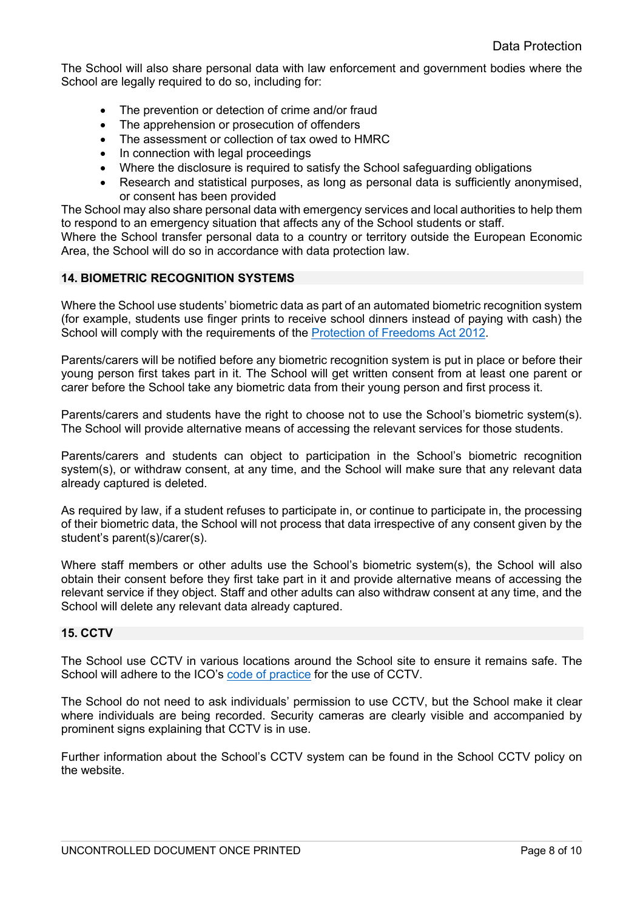The School will also share personal data with law enforcement and government bodies where the School are legally required to do so, including for:

- The prevention or detection of crime and/or fraud
- The apprehension or prosecution of offenders
- The assessment or collection of tax owed to HMRC
- In connection with legal proceedings
- Where the disclosure is required to satisfy the School safeguarding obligations
- Research and statistical purposes, as long as personal data is sufficiently anonymised, or consent has been provided

The School may also share personal data with emergency services and local authorities to help them to respond to an emergency situation that affects any of the School students or staff.

Where the School transfer personal data to a country or territory outside the European Economic Area, the School will do so in accordance with data protection law.

# **14. BIOMETRIC RECOGNITION SYSTEMS**

Where the School use students' biometric data as part of an automated biometric recognition system (for example, students use finger prints to receive school dinners instead of paying with cash) the School will comply with the requirements of the Protection of Freedoms Act 2012.

Parents/carers will be notified before any biometric recognition system is put in place or before their young person first takes part in it. The School will get written consent from at least one parent or carer before the School take any biometric data from their young person and first process it.

Parents/carers and students have the right to choose not to use the School's biometric system(s). The School will provide alternative means of accessing the relevant services for those students.

Parents/carers and students can object to participation in the School's biometric recognition system(s), or withdraw consent, at any time, and the School will make sure that any relevant data already captured is deleted.

As required by law, if a student refuses to participate in, or continue to participate in, the processing of their biometric data, the School will not process that data irrespective of any consent given by the student's parent(s)/carer(s).

Where staff members or other adults use the School's biometric system(s), the School will also obtain their consent before they first take part in it and provide alternative means of accessing the relevant service if they object. Staff and other adults can also withdraw consent at any time, and the School will delete any relevant data already captured.

# **15. CCTV**

The School use CCTV in various locations around the School site to ensure it remains safe. The School will adhere to the ICO's code of practice for the use of CCTV.

The School do not need to ask individuals' permission to use CCTV, but the School make it clear where individuals are being recorded. Security cameras are clearly visible and accompanied by prominent signs explaining that CCTV is in use.

Further information about the School's CCTV system can be found in the School CCTV policy on the website.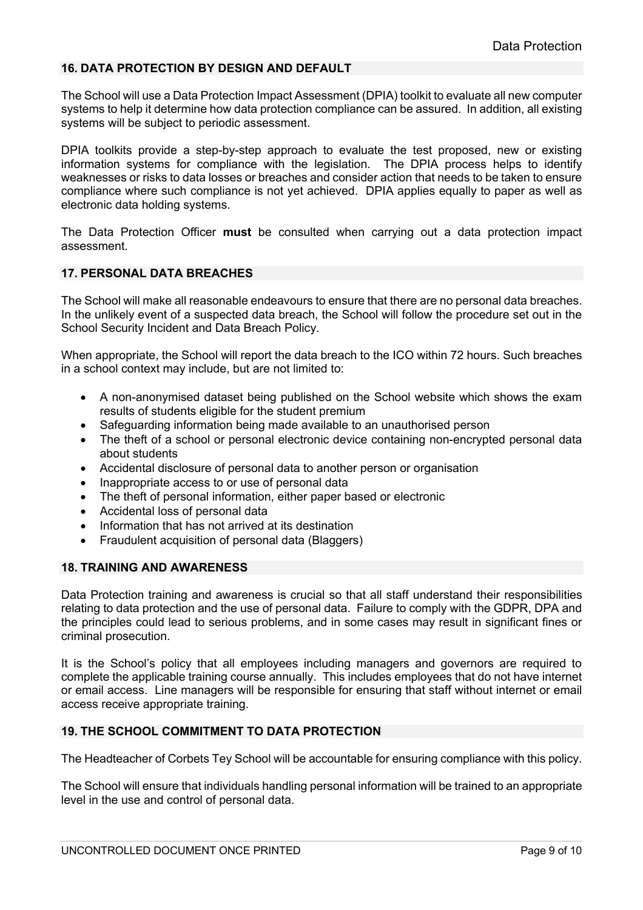# **16. DATA PROTECTION BY DESIGN AND DEFAULT**

The School will use a Data Protection Impact Assessment (DPIA) toolkit to evaluate all new computer systems to help it determine how data protection compliance can be assured. In addition, all existing systems will be subject to periodic assessment.

DPIA toolkits provide a step-by-step approach to evaluate the test proposed, new or existing information systems for compliance with the legislation. The DPIA process helps to identify weaknesses or risks to data losses or breaches and consider action that needs to be taken to ensure compliance where such compliance is not yet achieved. DPIA applies equally to paper as well as electronic data holding systems.

The Data Protection Officer **must** be consulted when carrying out a data protection impact assessment.

### **17. PERSONAL DATA BREACHES**

The School will make all reasonable endeavours to ensure that there are no personal data breaches. In the unlikely event of a suspected data breach, the School will follow the procedure set out in the School Security Incident and Data Breach Policy.

When appropriate, the School will report the data breach to the ICO within 72 hours. Such breaches in a school context may include, but are not limited to:

- A non-anonymised dataset being published on the School website which shows the exam results of students eligible for the student premium
- Safeguarding information being made available to an unauthorised person
- The theft of a school or personal electronic device containing non-encrypted personal data about students
- Accidental disclosure of personal data to another person or organisation
- Inappropriate access to or use of personal data
- The theft of personal information, either paper based or electronic
- Accidental loss of personal data
- Information that has not arrived at its destination
- Fraudulent acquisition of personal data (Blaggers)

#### **18. TRAINING AND AWARENESS**

Data Protection training and awareness is crucial so that all staff understand their responsibilities relating to data protection and the use of personal data. Failure to comply with the GDPR, DPA and the principles could lead to serious problems, and in some cases may result in significant fines or criminal prosecution.

It is the School's policy that all employees including managers and governors are required to complete the applicable training course annually. This includes employees that do not have internet or email access. Line managers will be responsible for ensuring that staff without internet or email access receive appropriate training.

### **19. THE SCHOOL COMMITMENT TO DATA PROTECTION**

The Headteacher of Corbets Tey School will be accountable for ensuring compliance with this policy.

The School will ensure that individuals handling personal information will be trained to an appropriate level in the use and control of personal data.